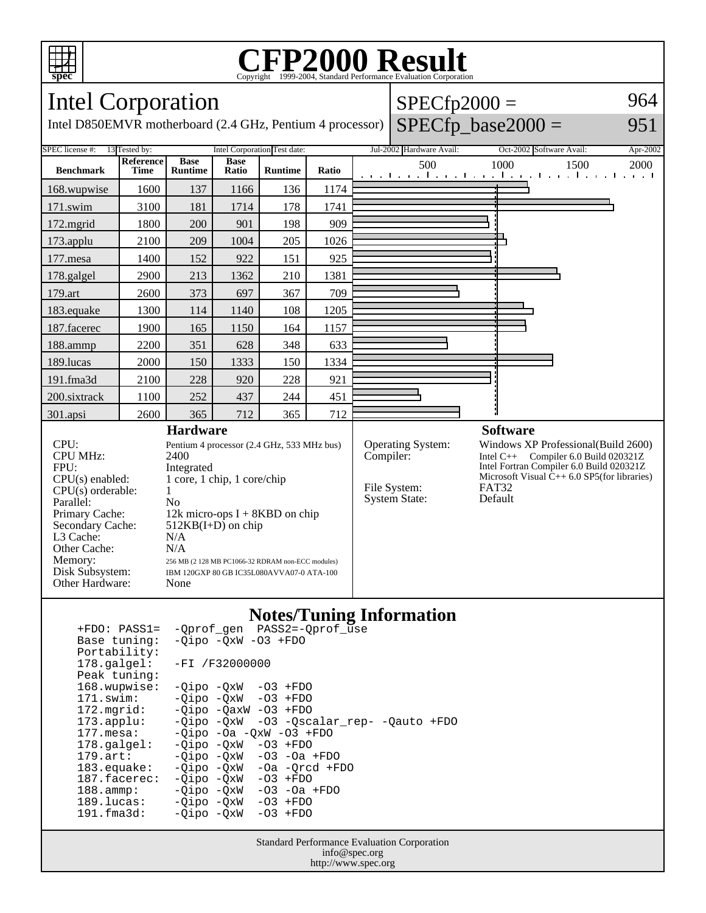

## Copyright ©1999-2004, Standard Performance Evaluation Corporation



Intel D850EMVR motherboard (2.4 GHz, Pentium 4 processor)

| $ $ SPECfp2000 =                   | 964 |
|------------------------------------|-----|
| $\text{SPECfp}\_\text{base}2000 =$ | 951 |



#### **Notes/Tuning Information**

| $+FDO: PASS1=$        | -Oprof gen PASS2=-Oprof use              |
|-----------------------|------------------------------------------|
| Base tuning:          | $-Oipo$ $-OxW$ $-O3$ $+FDO$              |
| Portability:          |                                          |
| 178.galgel:           | $-FI / F32000000$                        |
| Peak tuning:          |                                          |
| 168.wupwise:          | $-Oipo -QxW -O3 + FDO$                   |
| 171.swim:             | $-Oipo$ $-OxW$ $-O3$ $+FDO$              |
| $172.\text{mgrid}:$   | $-Oipo$ $-OaxW$ $-O3$ $+FDO$             |
| $173.appendu$ :       | -Qipo -QxW -03 -Qscalar_rep- -Qauto +FDO |
| $177.\text{mesa}$ :   | $-Oipo -Oa -OXW -O3 + FDO$               |
| $178.\text{qalgel}$ : | $-Oipo$ $-OxW$ $-O3$ $+FDO$              |
| $179.\text{art}$ :    | $-Qipo -QxW -O3 -Oa + FDO$               |
| $183$ .equake:        | $-Oipo -OXW - Oa -Orcd + FDO$            |
| 187.facerec:          | $-Oipo$ $-OxW$ $-O3$ $+FDO$              |
| $188.\text{ammp}:$    | $-Qipo -QxW -O3 -Oa + FDO$               |
| 189.lucas:            | $-Oipo$ $-OxW$ $-O3$ $+FDO$              |
| $191.f$ ma $3d$ :     | -Oipo -OxW<br>$-03$ +FDO                 |
|                       |                                          |

Standard Performance Evaluation Corporation info@spec.org http://www.spec.org